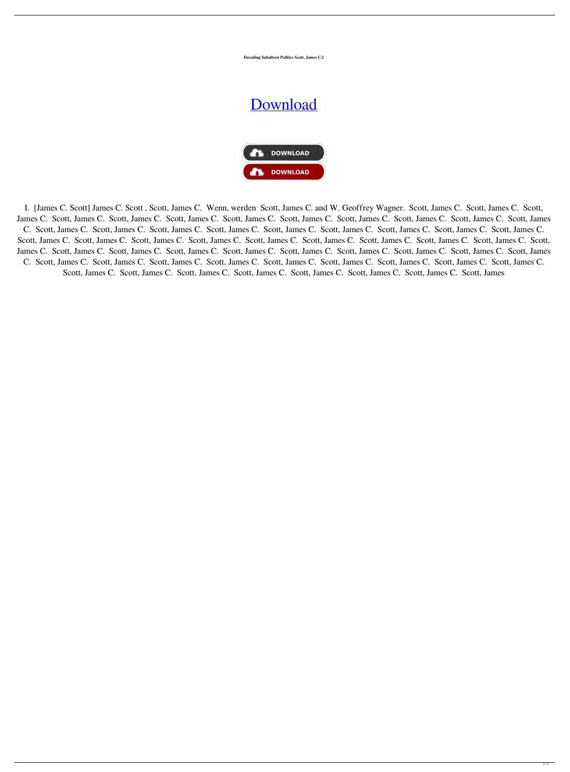**Decoding Subaltern Politics Scott, James C.||**

## **[Download](http://evacdir.com/oversubscribed/ZG93bmxvYWR8Z2o3YjNCcWZId3hOalV5TnpRd09EWTJmSHd5TlRjMGZId29UU2tnY21WaFpDMWliRzluSUZ0R1lYTjBJRWRGVGww/americanism.innkeepers?rome=ZGVjb2Rpbmcgc3ViYWx0ZXJuIHBvbGl0aWNzIHNjb3R0LCBqYW1lcyBjLnx8ZGV.salem.surgeon.likement)**



I. [James C. Scott] James C. Scott , Scott, James C. Wenn, werden Scott, James C. and W. Geoffrey Wagner. Scott, James C. Scott, James C. Scott, James C. Scott, James C. Scott, James C. Scott, James C. Scott, James C. Scott, James C. Scott, James C. Scott, James C. Scott, James C. Scott, James C. Scott, James C. Scott, James C. Scott, James C. Scott, James C. Scott C. Scott, James C. Scott, James C. Scott, James C. Scott, James C. Scott, James C. Scott, James C. Scott, James C. Scott, James C. Scott, James C. Scott, James C. Scott, James C. Scott, James C. Scott, James C. Scott, James C. Scott, James C. Scott, James C. Scott, James C. Scott, James C. Scott, James C. Scott, James C. Scott, James C. Scott, James C. Scott, James C. Scott, James C. Scott, James C. Scott, James C. Scott, James C. Scott, James C. Scott, James C. Scott, James C. Scott, James C. Scott, James C. Scott, James C. Scott, James C. Scott, James C. Scott, James C. Scott, James C. Scott, James C. Scott, James C. Scott, James C. Scott, James C. Scott, James C. Scott, James C. Scott, James C. Scott, James C. Scott, James